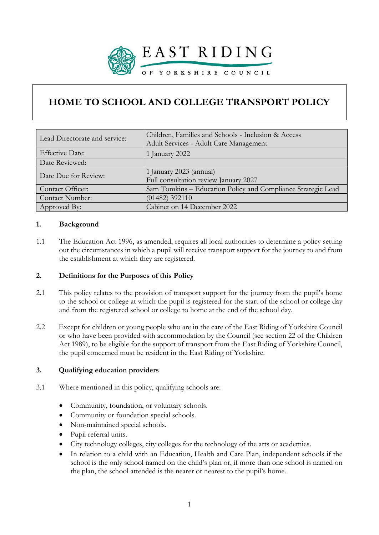

# **HOME TO SCHOOL AND COLLEGE TRANSPORT POLICY**

| Lead Directorate and service: | Children, Families and Schools - Inclusion & Access<br>Adult Services - Adult Care Management |
|-------------------------------|-----------------------------------------------------------------------------------------------|
| <b>Effective Date:</b>        | 1 January 2022                                                                                |
| Date Reviewed:                |                                                                                               |
| Date Due for Review:          | 1 January 2023 (annual)<br>Full consultation review January 2027                              |
| Contact Officer:              | Sam Tomkins - Education Policy and Compliance Strategic Lead                                  |
| Contact Number:               | $(01482)$ 392110                                                                              |
| Approved By:                  | Cabinet on 14 December 2022                                                                   |

### **1. Background**

1.1 The Education Act 1996, as amended, requires all local authorities to determine a policy setting out the circumstances in which a pupil will receive transport support for the journey to and from the establishment at which they are registered.

### **2. Definitions for the Purposes of this Policy**

- 2.1 This policy relates to the provision of transport support for the journey from the pupil's home to the school or college at which the pupil is registered for the start of the school or college day and from the registered school or college to home at the end of the school day.
- 2.2 Except for children or young people who are in the care of the East Riding of Yorkshire Council or who have been provided with accommodation by the Council (see section 22 of the Children Act 1989), to be eligible for the support of transport from the East Riding of Yorkshire Council, the pupil concerned must be resident in the East Riding of Yorkshire.

### **3. Qualifying education providers**

- 3.1 Where mentioned in this policy, qualifying schools are:
	- Community, foundation, or voluntary schools.
	- Community or foundation special schools.
	- Non-maintained special schools.
	- Pupil referral units.
	- City technology colleges, city colleges for the technology of the arts or academies.
	- In relation to a child with an Education, Health and Care Plan, independent schools if the school is the only school named on the child's plan or, if more than one school is named on the plan, the school attended is the nearer or nearest to the pupil's home.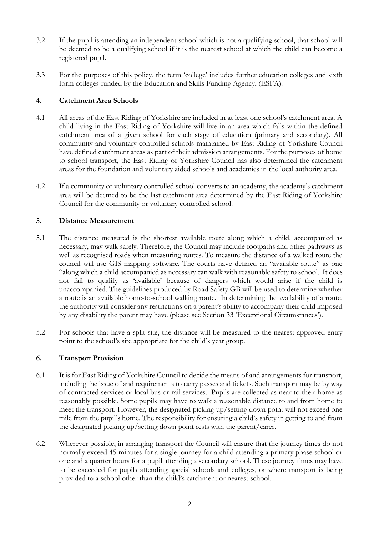- 3.2 If the pupil is attending an independent school which is not a qualifying school, that school will be deemed to be a qualifying school if it is the nearest school at which the child can become a registered pupil.
- 3.3 For the purposes of this policy, the term 'college' includes further education colleges and sixth form colleges funded by the Education and Skills Funding Agency, (ESFA).

# **4. Catchment Area Schools**

- 4.1 All areas of the East Riding of Yorkshire are included in at least one school's catchment area. A child living in the East Riding of Yorkshire will live in an area which falls within the defined catchment area of a given school for each stage of education (primary and secondary). All community and voluntary controlled schools maintained by East Riding of Yorkshire Council have defined catchment areas as part of their admission arrangements. For the purposes of home to school transport, the East Riding of Yorkshire Council has also determined the catchment areas for the foundation and voluntary aided schools and academies in the local authority area.
- 4.2 If a community or voluntary controlled school converts to an academy, the academy's catchment area will be deemed to be the last catchment area determined by the East Riding of Yorkshire Council for the community or voluntary controlled school.

### **5. Distance Measurement**

- 5.1 The distance measured is the shortest available route along which a child, accompanied as necessary, may walk safely. Therefore, the Council may include footpaths and other pathways as well as recognised roads when measuring routes. To measure the distance of a walked route the council will use GIS mapping software. The courts have defined an "available route" as one "along which a child accompanied as necessary can walk with reasonable safety to school. It does not fail to qualify as 'available' because of dangers which would arise if the child is unaccompanied. The guidelines produced by Road Safety GB will be used to determine whether a route is an available home-to-school walking route. In determining the availability of a route, the authority will consider any restrictions on a parent's ability to accompany their child imposed by any disability the parent may have (please see Section 33 'Exceptional Circumstances').
- 5.2 For schools that have a split site, the distance will be measured to the nearest approved entry point to the school's site appropriate for the child's year group.

### **6. Transport Provision**

- 6.1 It is for East Riding of Yorkshire Council to decide the means of and arrangements for transport, including the issue of and requirements to carry passes and tickets. Such transport may be by way of contracted services or local bus or rail services. Pupils are collected as near to their home as reasonably possible. Some pupils may have to walk a reasonable distance to and from home to meet the transport. However, the designated picking up/setting down point will not exceed one mile from the pupil's home. The responsibility for ensuring a child's safety in getting to and from the designated picking up/setting down point rests with the parent/carer.
- 6.2 Wherever possible, in arranging transport the Council will ensure that the journey times do not normally exceed 45 minutes for a single journey for a child attending a primary phase school or one and a quarter hours for a pupil attending a secondary school. These journey times may have to be exceeded for pupils attending special schools and colleges, or where transport is being provided to a school other than the child's catchment or nearest school.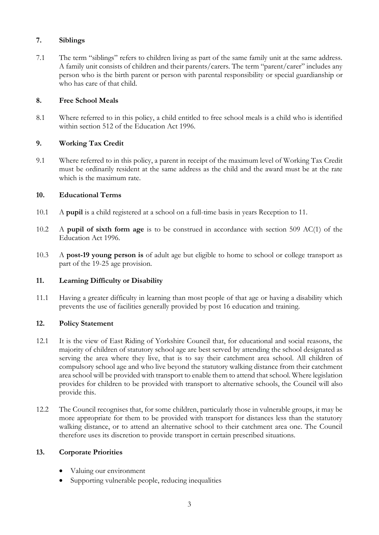# **7. Siblings**

7.1 The term "siblings" refers to children living as part of the same family unit at the same address. A family unit consists of children and their parents/carers. The term "parent/carer" includes any person who is the birth parent or person with parental responsibility or special guardianship or who has care of that child.

# **8. Free School Meals**

8.1 Where referred to in this policy, a child entitled to free school meals is a child who is identified within section 512 of the Education Act 1996.

# **9. Working Tax Credit**

9.1 Where referred to in this policy, a parent in receipt of the maximum level of Working Tax Credit must be ordinarily resident at the same address as the child and the award must be at the rate which is the maximum rate.

# **10. Educational Terms**

- 10.1 A **pupil** is a child registered at a school on a full-time basis in years Reception to 11.
- 10.2 A **pupil of sixth form age** is to be construed in accordance with section 509 AC(1) of the Education Act 1996.
- 10.3 A **post-19 young person is** of adult age but eligible to home to school or college transport as part of the 19-25 age provision.

# **11. Learning Difficulty or Disability**

11.1 Having a greater difficulty in learning than most people of that age or having a disability which prevents the use of facilities generally provided by post 16 education and training.

### **12. Policy Statement**

- 12.1 It is the view of East Riding of Yorkshire Council that, for educational and social reasons, the majority of children of statutory school age are best served by attending the school designated as serving the area where they live, that is to say their catchment area school. All children of compulsory school age and who live beyond the statutory walking distance from their catchment area school will be provided with transport to enable them to attend that school. Where legislation provides for children to be provided with transport to alternative schools, the Council will also provide this.
- 12.2 The Council recognises that, for some children, particularly those in vulnerable groups, it may be more appropriate for them to be provided with transport for distances less than the statutory walking distance, or to attend an alternative school to their catchment area one. The Council therefore uses its discretion to provide transport in certain prescribed situations.

### **13. Corporate Priorities**

- Valuing our environment
- Supporting vulnerable people, reducing inequalities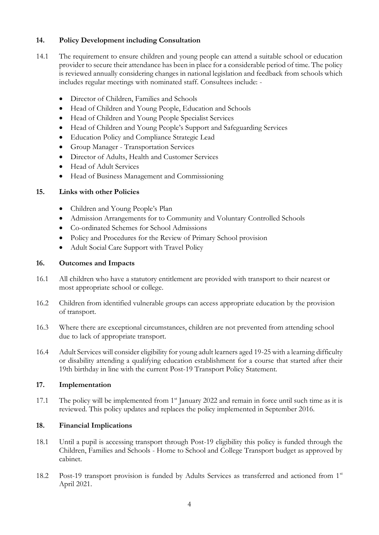# **14. Policy Development including Consultation**

- 14.1 The requirement to ensure children and young people can attend a suitable school or education provider to secure their attendance has been in place for a considerable period of time. The policy is reviewed annually considering changes in national legislation and feedback from schools which includes regular meetings with nominated staff. Consultees include: -
	- Director of Children, Families and Schools
	- Head of Children and Young People, Education and Schools
	- Head of Children and Young People Specialist Services
	- Head of Children and Young People's Support and Safeguarding Services
	- Education Policy and Compliance Strategic Lead
	- Group Manager Transportation Services
	- Director of Adults, Health and Customer Services
	- Head of Adult Services
	- Head of Business Management and Commissioning

### **15. Links with other Policies**

- Children and Young People's Plan
- Admission Arrangements for to Community and Voluntary Controlled Schools
- Co-ordinated Schemes for School Admissions
- Policy and Procedures for the Review of Primary School provision
- Adult Social Care Support with Travel Policy

### **16. Outcomes and Impacts**

- 16.1 All children who have a statutory entitlement are provided with transport to their nearest or most appropriate school or college.
- 16.2 Children from identified vulnerable groups can access appropriate education by the provision of transport.
- 16.3 Where there are exceptional circumstances, children are not prevented from attending school due to lack of appropriate transport.
- 16.4 Adult Services will consider eligibility for young adult learners aged 19-25 with a learning difficulty or disability attending a qualifying education establishment for a course that started after their 19th birthday in line with the current Post-19 Transport Policy Statement.

### **17. Implementation**

17.1 The policy will be implemented from 1<sup>st</sup> January 2022 and remain in force until such time as it is reviewed. This policy updates and replaces the policy implemented in September 2016.

# **18. Financial Implications**

- 18.1 Until a pupil is accessing transport through Post-19 eligibility this policy is funded through the Children, Families and Schools - Home to School and College Transport budget as approved by cabinet.
- 18.2 Post-19 transport provision is funded by Adults Services as transferred and actioned from 1<sup>st</sup> April 2021.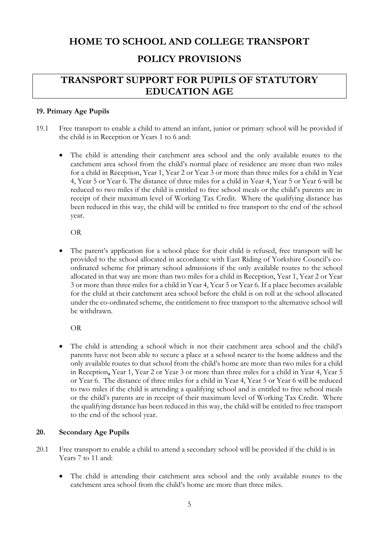# **HOME TO SCHOOL AND COLLEGE TRANSPORT POLICY PROVISIONS**

# **TRANSPORT SUPPORT FOR PUPILS OF STATUTORY EDUCATION AGE**

# **19. Primary Age Pupils**

- 19.1 Free transport to enable a child to attend an infant, junior or primary school will be provided if the child is in Reception or Years 1 to 6 and:
	- The child is attending their catchment area school and the only available routes to the catchment area school from the child's normal place of residence are more than two miles for a child in Reception, Year 1, Year 2 or Year 3 or more than three miles for a child in Year 4, Year 5 or Year 6. The distance of three miles for a child in Year 4, Year 5 or Year 6 will be reduced to two miles if the child is entitled to free school meals or the child's parents are in receipt of their maximum level of Working Tax Credit. Where the qualifying distance has been reduced in this way, the child will be entitled to free transport to the end of the school year.

OR

The parent's application for a school place for their child is refused, free transport will be provided to the school allocated in accordance with East Riding of Yorkshire Council's coordinated scheme for primary school admissions if the only available routes to the school allocated in that way are more than two miles for a child in Reception, Year 1, Year 2 or Year 3 or more than three miles for a child in Year 4, Year 5 or Year 6. If a place becomes available for the child at their catchment area school before the child is on roll at the school allocated under the co-ordinated scheme, the entitlement to free transport to the alternative school will be withdrawn.

OR

• The child is attending a school which is not their catchment area school and the child's parents have not been able to secure a place at a school nearer to the home address and the only available routes to that school from the child's home are more than two miles for a child in Reception**,** Year 1, Year 2 or Year 3 or more than three miles for a child in Year 4, Year 5 or Year 6. The distance of three miles for a child in Year 4, Year 5 or Year 6 will be reduced to two miles if the child is attending a qualifying school and is entitled to free school meals or the child's parents are in receipt of their maximum level of Working Tax Credit. Where the qualifying distance has been reduced in this way, the child will be entitled to free transport to the end of the school year.

### **20. Secondary Age Pupils**

- 20.1 Free transport to enable a child to attend a secondary school will be provided if the child is in Years 7 to 11 and:
	- The child is attending their catchment area school and the only available routes to the catchment area school from the child's home are more than three miles.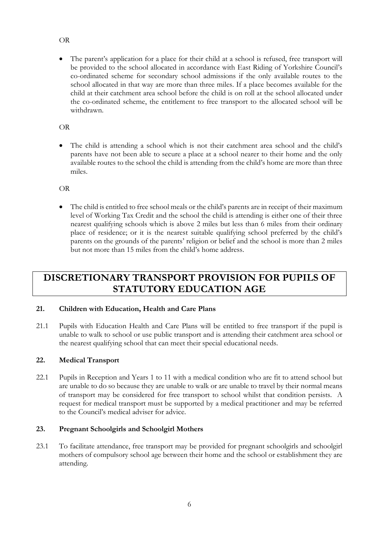# OR

• The parent's application for a place for their child at a school is refused, free transport will be provided to the school allocated in accordance with East Riding of Yorkshire Council's co-ordinated scheme for secondary school admissions if the only available routes to the school allocated in that way are more than three miles. If a place becomes available for the child at their catchment area school before the child is on roll at the school allocated under the co-ordinated scheme, the entitlement to free transport to the allocated school will be withdrawn.

# OR

• The child is attending a school which is not their catchment area school and the child's parents have not been able to secure a place at a school nearer to their home and the only available routes to the school the child is attending from the child's home are more than three miles.

OR

The child is entitled to free school meals or the child's parents are in receipt of their maximum level of Working Tax Credit and the school the child is attending is either one of their three nearest qualifying schools which is above 2 miles but less than 6 miles from their ordinary place of residence; or it is the nearest suitable qualifying school preferred by the child's parents on the grounds of the parents' religion or belief and the school is more than 2 miles but not more than 15 miles from the child's home address.

# **DISCRETIONARY TRANSPORT PROVISION FOR PUPILS OF STATUTORY EDUCATION AGE**

# **21. Children with Education, Health and Care Plans**

21.1 Pupils with Education Health and Care Plans will be entitled to free transport if the pupil is unable to walk to school or use public transport and is attending their catchment area school or the nearest qualifying school that can meet their special educational needs.

# **22. Medical Transport**

22.1 Pupils in Reception and Years 1 to 11 with a medical condition who are fit to attend school but are unable to do so because they are unable to walk or are unable to travel by their normal means of transport may be considered for free transport to school whilst that condition persists. A request for medical transport must be supported by a medical practitioner and may be referred to the Council's medical adviser for advice.

# **23. Pregnant Schoolgirls and Schoolgirl Mothers**

23.1 To facilitate attendance, free transport may be provided for pregnant schoolgirls and schoolgirl mothers of compulsory school age between their home and the school or establishment they are attending.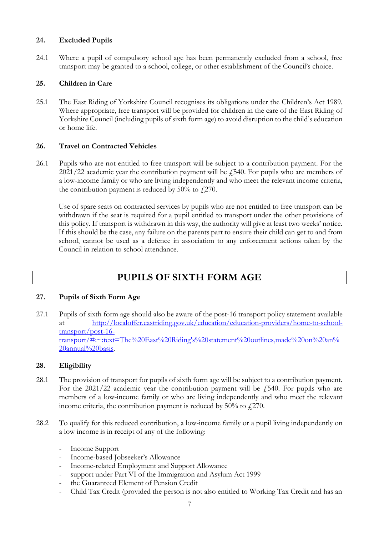# **24. Excluded Pupils**

24.1 Where a pupil of compulsory school age has been permanently excluded from a school, free transport may be granted to a school, college, or other establishment of the Council's choice.

# **25. Children in Care**

25.1 The East Riding of Yorkshire Council recognises its obligations under the Children's Act 1989. Where appropriate, free transport will be provided for children in the care of the East Riding of Yorkshire Council (including pupils of sixth form age) to avoid disruption to the child's education or home life.

# **26. Travel on Contracted Vehicles**

26.1 Pupils who are not entitled to free transport will be subject to a contribution payment. For the  $2021/22$  academic year the contribution payment will be  $\ddot{f}$  540. For pupils who are members of a low-income family or who are living independently and who meet the relevant income criteria, the contribution payment is reduced by  $50\%$  to  $\ell$  270.

Use of spare seats on contracted services by pupils who are not entitled to free transport can be withdrawn if the seat is required for a pupil entitled to transport under the other provisions of this policy. If transport is withdrawn in this way, the authority will give at least two weeks' notice. If this should be the case, any failure on the parents part to ensure their child can get to and from school, cannot be used as a defence in association to any enforcement actions taken by the Council in relation to school attendance.

# **PUPILS OF SIXTH FORM AGE**

### **27. Pupils of Sixth Form Age**

27.1 Pupils of sixth form age should also be aware of the post-16 transport policy statement available at [http://localoffer.eastriding.gov.uk/education/education-providers/home-to-school](http://localoffer.eastriding.gov.uk/education/education-providers/home-to-school-transport/post-16-transport/#:~:text=The%20East%20Riding)[transport/post-16](http://localoffer.eastriding.gov.uk/education/education-providers/home-to-school-transport/post-16-transport/#:~:text=The%20East%20Riding) [transport/#:~:text=The%20East%20Riding's%20statement%20outlines,made%20on%20an%](http://localoffer.eastriding.gov.uk/education/education-providers/home-to-school-transport/post-16-transport/#:~:text=The%20East%20Riding) [20annual%20basis.](http://localoffer.eastriding.gov.uk/education/education-providers/home-to-school-transport/post-16-transport/#:~:text=The%20East%20Riding)

### **28. Eligibility**

- 28.1 The provision of transport for pupils of sixth form age will be subject to a contribution payment. For the  $2021/22$  academic year the contribution payment will be  $\sqrt{2540}$ . For pupils who are members of a low-income family or who are living independently and who meet the relevant income criteria, the contribution payment is reduced by 50% to  $f(270)$ .
- 28.2 To qualify for this reduced contribution, a low-income family or a pupil living independently on a low income is in receipt of any of the following:
	- Income Support
	- Income-based Jobseeker's Allowance
	- Income-related Employment and Support Allowance
	- support under Part VI of the Immigration and Asylum Act 1999
	- the Guaranteed Element of Pension Credit
	- Child Tax Credit (provided the person is not also entitled to Working Tax Credit and has an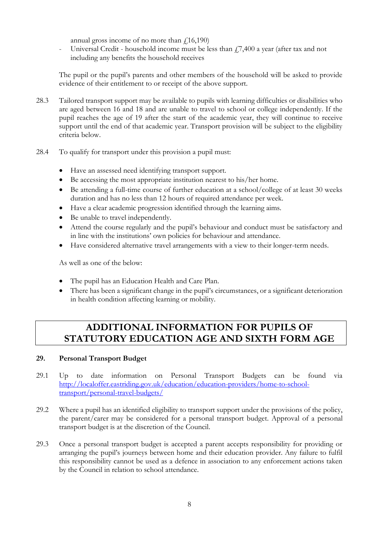annual gross income of no more than  $\ell$ 16,190)

Universal Credit - household income must be less than  $f(7,400)$  a year (after tax and not including any benefits the household receives

The pupil or the pupil's parents and other members of the household will be asked to provide evidence of their entitlement to or receipt of the above support.

- 28.3 Tailored transport support may be available to pupils with learning difficulties or disabilities who are aged between 16 and 18 and are unable to travel to school or college independently. If the pupil reaches the age of 19 after the start of the academic year, they will continue to receive support until the end of that academic year. Transport provision will be subject to the eligibility criteria below.
- 28.4 To qualify for transport under this provision a pupil must:
	- Have an assessed need identifying transport support.
	- Be accessing the most appropriate institution nearest to his/her home.
	- Be attending a full-time course of further education at a school/college of at least 30 weeks duration and has no less than 12 hours of required attendance per week.
	- Have a clear academic progression identified through the learning aims.
	- Be unable to travel independently.
	- Attend the course regularly and the pupil's behaviour and conduct must be satisfactory and in line with the institutions' own policies for behaviour and attendance.
	- Have considered alternative travel arrangements with a view to their longer-term needs.

As well as one of the below:

- The pupil has an Education Health and Care Plan.
- There has been a significant change in the pupil's circumstances, or a significant deterioration in health condition affecting learning or mobility.

# **ADDITIONAL INFORMATION FOR PUPILS OF STATUTORY EDUCATION AGE AND SIXTH FORM AGE**

# **29. Personal Transport Budget**

- 29.1 Up to date information on Personal Transport Budgets can be found via [http://localoffer.eastriding.gov.uk/education/education-providers/home-to-school](http://localoffer.eastriding.gov.uk/education/education-providers/home-to-school-transport/personal-travel-budgets/)[transport/personal-travel-budgets/](http://localoffer.eastriding.gov.uk/education/education-providers/home-to-school-transport/personal-travel-budgets/)
- 29.2 Where a pupil has an identified eligibility to transport support under the provisions of the policy, the parent/carer may be considered for a personal transport budget. Approval of a personal transport budget is at the discretion of the Council.
- 29.3 Once a personal transport budget is accepted a parent accepts responsibility for providing or arranging the pupil's journeys between home and their education provider. Any failure to fulfil this responsibility cannot be used as a defence in association to any enforcement actions taken by the Council in relation to school attendance.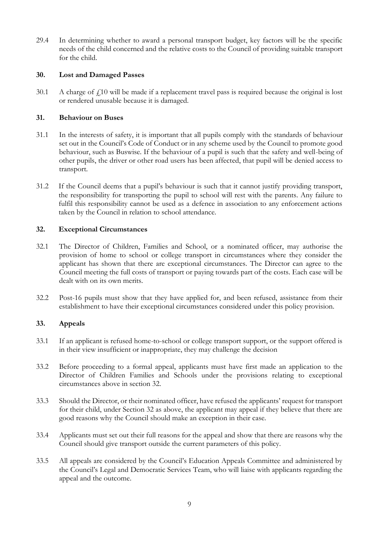29.4 In determining whether to award a personal transport budget, key factors will be the specific needs of the child concerned and the relative costs to the Council of providing suitable transport for the child.

# **30. Lost and Damaged Passes**

 $30.1$  A charge of  $\ell$ 10 will be made if a replacement travel pass is required because the original is lost or rendered unusable because it is damaged.

### **31. Behaviour on Buses**

- 31.1 In the interests of safety, it is important that all pupils comply with the standards of behaviour set out in the Council's Code of Conduct or in any scheme used by the Council to promote good behaviour, such as Buswise. If the behaviour of a pupil is such that the safety and well-being of other pupils, the driver or other road users has been affected, that pupil will be denied access to transport.
- 31.2 If the Council deems that a pupil's behaviour is such that it cannot justify providing transport, the responsibility for transporting the pupil to school will rest with the parents. Any failure to fulfil this responsibility cannot be used as a defence in association to any enforcement actions taken by the Council in relation to school attendance.

### **32. Exceptional Circumstances**

- 32.1 The Director of Children, Families and School, or a nominated officer, may authorise the provision of home to school or college transport in circumstances where they consider the applicant has shown that there are exceptional circumstances. The Director can agree to the Council meeting the full costs of transport or paying towards part of the costs. Each case will be dealt with on its own merits.
- 32.2 Post-16 pupils must show that they have applied for, and been refused, assistance from their establishment to have their exceptional circumstances considered under this policy provision.

### **33. Appeals**

- 33.1 If an applicant is refused home-to-school or college transport support, or the support offered is in their view insufficient or inappropriate, they may challenge the decision
- 33.2 Before proceeding to a formal appeal, applicants must have first made an application to the Director of Children Families and Schools under the provisions relating to exceptional circumstances above in section 32.
- 33.3 Should the Director, or their nominated officer, have refused the applicants' request for transport for their child, under Section 32 as above, the applicant may appeal if they believe that there are good reasons why the Council should make an exception in their case.
- 33.4 Applicants must set out their full reasons for the appeal and show that there are reasons why the Council should give transport outside the current parameters of this policy.
- 33.5 All appeals are considered by the Council's Education Appeals Committee and administered by the Council's Legal and Democratic Services Team, who will liaise with applicants regarding the appeal and the outcome.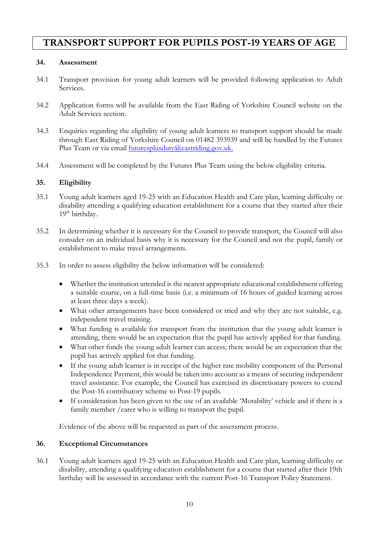# **TRANSPORT SUPPORT FOR PUPILS POST-19 YEARS OF AGE**

# **34. Assessment**

- 34.1 Transport provision for young adult learners will be provided following application to Adult Services.
- 34.2 Application forms will be available from the East Riding of Yorkshire Council website on the Adult Services section.
- 34.3 Enquiries regarding the eligibility of young adult learners to transport support should be made through East Riding of Yorkshire Council on 01482 393939 and will be handled by the Futures Plus Team or via email [futuresplusduty@eastriding.gov.uk.](mailto:futuresplusduty@eastriding.gov.uk)
- 34.4 Assessment will be completed by the Futures Plus Team using the below eligibility criteria.

# **35. Eligibility**

- 35.1 Young adult learners aged 19-25 with an Education Health and Care plan, learning difficulty or disability attending a qualifying education establishment for a course that they started after their 19<sup>th</sup> birthday.
- 35.2 In determining whether it is necessary for the Council to provide transport, the Council will also consider on an individual basis why it is necessary for the Council and not the pupil, family or establishment to make travel arrangements.
- 35.3 In order to assess eligibility the below information will be considered:
	- Whether the institution attended is the nearest appropriate educational establishment offering a suitable course, on a full-time basis (i.e. a minimum of 16 hours of guided learning across at least three days a week).
	- What other arrangements have been considered or tried and why they are not suitable, e.g. independent travel training.
	- What funding is available for transport from the institution that the young adult learner is attending, there would be an expectation that the pupil has actively applied for that funding.
	- What other funds the young adult learner can access; there would be an expectation that the pupil has actively applied for that funding.
	- If the young adult learner is in receipt of the higher rate mobility component of the Personal Independence Payment, this would be taken into account as a means of securing independent travel assistance. For example, the Council has exercised its discretionary powers to extend the Post-16 contributory scheme to Post-19 pupils.
	- If consideration has been given to the use of an available 'Motability' vehicle and if there is a family member / carer who is willing to transport the pupil.

Evidence of the above will be requested as part of the assessment process.

### **36. Exceptional Circumstances**

36.1 Young adult learners aged 19-25 with an Education Health and Care plan, learning difficulty or disability, attending a qualifying education establishment for a course that started after their 19th birthday will be assessed in accordance with the current Post-16 Transport Policy Statement.